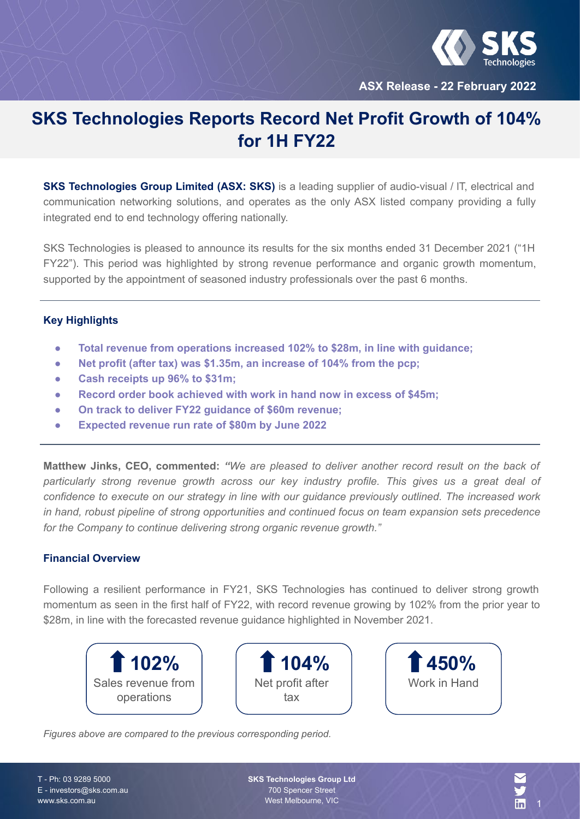

**ASX Release - 22 February 2022**

# **SKS Technologies Reports Record Net Profit Growth of 104% for 1H FY22**

**SKS Technologies Group Limited (ASX: SKS)** is a leading supplier of audio-visual / IT, electrical and communication networking solutions, and operates as the only ASX listed company providing a fully integrated end to end technology offering nationally.

SKS Technologies is pleased to announce its results for the six months ended 31 December 2021 ("1H FY22"). This period was highlighted by strong revenue performance and organic growth momentum, supported by the appointment of seasoned industry professionals over the past 6 months.

### **Key Highlights**

- **● Total revenue from operations increased 102% to \$28m, in line with guidance;**
- **● Net profit (after tax) was \$1.35m, an increase of 104% from the pcp;**
- **● Cash receipts up 96% to \$31m;**
- **● Record order book achieved with work in hand now in excess of \$45m;**
- **● On track to deliver FY22 guidance of \$60m revenue;**
- **● Expected revenue run rate of \$80m by June 2022**

**Matthew Jinks, CEO, commented:** *"We are pleased to deliver another record result on the back of particularly strong revenue growth across our key industry profile. This gives us a great deal of confidence to execute on our strategy in line with our guidance previously outlined. The increased work in hand, robust pipeline of strong opportunities and continued focus on team expansion sets precedence for the Company to continue delivering strong organic revenue growth."*

### **Financial Overview**

Following a resilient performance in FY21, SKS Technologies has continued to deliver strong growth momentum as seen in the first half of FY22, with record revenue growing by 102% from the prior year to \$28m, in line with the forecasted revenue guidance highlighted in November 2021.







*Figures above are compared to the previous corresponding period.*

T - Ph: 03 9289 5000 E - investors@sks.com.au www.sks.com.au

**SKS Technologies Group Ltd** 700 Spencer Street West Melbourne, VIC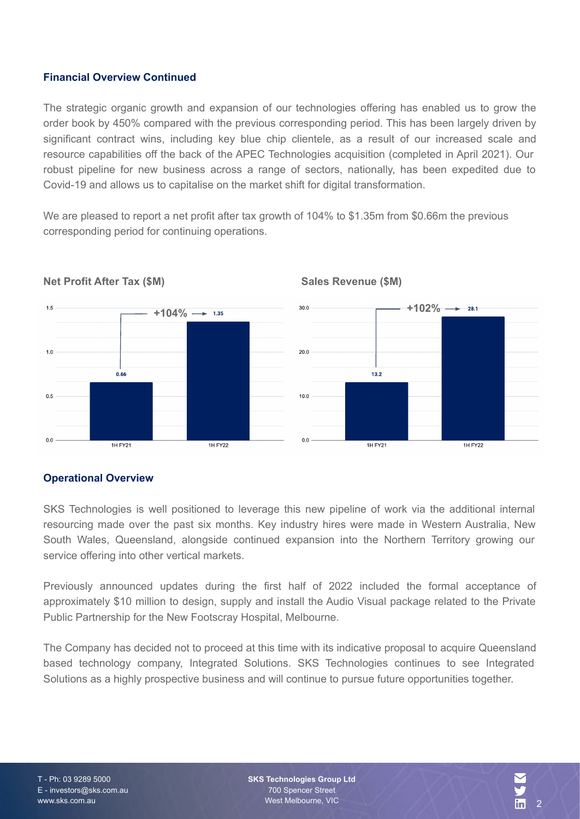## **Financial Overview Continued**

The strategic organic growth and expansion of our technologies offering has enabled us to grow the order book by 450% compared with the previous corresponding period. This has been largely driven by significant contract wins, including key blue chip clientele, as a result of our increased scale and resource capabilities off the back of the APEC Technologies acquisition (completed in April 2021). Our robust pipeline for new business across a range of sectors, nationally, has been expedited due to Covid-19 and allows us to capitalise on the market shift for digital transformation.

We are pleased to report a net profit after tax growth of 104% to \$1.35m from \$0.66m the previous corresponding period for continuing operations.



**Sales Revenue (\$M)**

**Net Profit After Tax (\$M)**

# **Operational Overview**

SKS Technologies is well positioned to leverage this new pipeline of work via the additional internal resourcing made over the past six months. Key industry hires were made in Western Australia, New South Wales, Queensland, alongside continued expansion into the Northern Territory growing our service offering into other vertical markets.

Previously announced updates during the first half of 2022 included the formal acceptance of approximately \$10 million to design, supply and install the Audio Visual package related to the Private Public Partnership for the New Footscray Hospital, Melbourne.

The Company has decided not to proceed at this time with its indicative proposal to acquire Queensland based technology company, Integrated Solutions. SKS Technologies continues to see Integrated Solutions as a highly prospective business and will continue to pursue future opportunities together.

**SKS Technologies Group Ltd** 700 Spencer Street West Melbourne, VIC